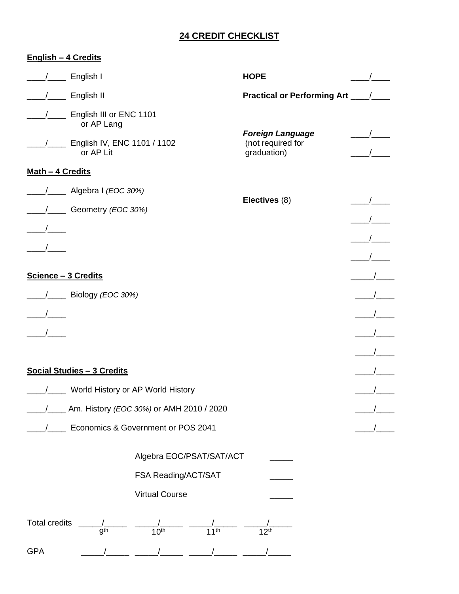## **24 CREDIT CHECKLIST**

## **English – 4 Credits**

|                                      | English I                                  |                               |                             | <b>HOPE</b>                                                 |               |
|--------------------------------------|--------------------------------------------|-------------------------------|-----------------------------|-------------------------------------------------------------|---------------|
|                                      | English II                                 |                               |                             | Practical or Performing Art ____/___                        |               |
|                                      | English III or ENC 1101<br>or AP Lang      |                               |                             |                                                             |               |
|                                      | English IV, ENC 1101 / 1102<br>or AP Lit   |                               |                             | <b>Foreign Language</b><br>(not required for<br>graduation) |               |
| Math - 4 Credits                     |                                            |                               |                             |                                                             |               |
|                                      | Algebra I (EOC 30%)                        |                               |                             | Electives (8)                                               |               |
|                                      | Geometry (EOC 30%)                         |                               |                             |                                                             |               |
|                                      |                                            |                               |                             |                                                             |               |
|                                      |                                            |                               |                             |                                                             |               |
|                                      |                                            |                               |                             |                                                             |               |
| Science - 3 Credits                  |                                            |                               |                             |                                                             |               |
|                                      | /____ Biology (EOC 30%)                    |                               |                             |                                                             |               |
|                                      |                                            |                               |                             |                                                             |               |
|                                      |                                            |                               |                             |                                                             |               |
|                                      |                                            |                               |                             |                                                             | $\frac{1}{2}$ |
| Social Studies - 3 Credits           |                                            |                               |                             |                                                             |               |
| __ World History or AP World History |                                            |                               |                             |                                                             |               |
| $\overline{1}$                       | _ Am. History (EOC 30%) or AMH 2010 / 2020 |                               |                             |                                                             |               |
| Economics & Government or POS 2041   |                                            |                               |                             |                                                             |               |
|                                      | Algebra EOC/PSAT/SAT/ACT                   |                               |                             |                                                             |               |
| FSA Reading/ACT/SAT                  |                                            |                               |                             |                                                             |               |
|                                      |                                            | <b>Virtual Course</b>         |                             |                                                             |               |
| <b>Total credits</b>                 | gth                                        | $\overline{10}$ <sup>th</sup> | $\overline{11}^{\text{th}}$ | $12^{th}$                                                   |               |
| <b>GPA</b>                           |                                            |                               |                             |                                                             |               |